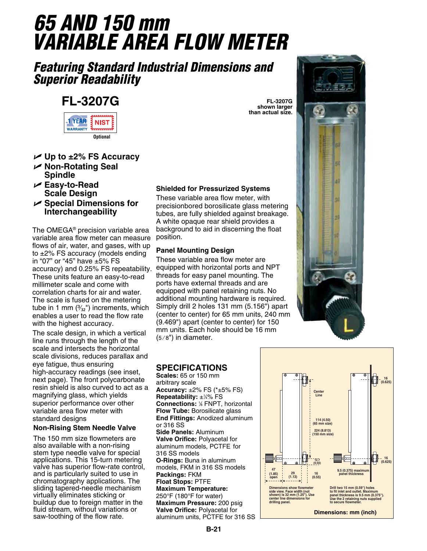# *65 AND 150 mm VARIABLE AREA FLOW METER*

### *Featuring Standard Industrial Dimensions and Superior Readability*

## **FL-3207G**



- **Up to ±2% FS Accuracy**
- **Non-Rotating Seal Spindle**
- **Easy-to-Read Scale Design**
- **Special Dimensions for Interchangeability**

The OMEGA® precision variable area variable area flow meter can measure flows of air, water, and gases, with up to ±2% FS accuracy (models ending in "07" or "45" have ±5% FS accuracy) and 0.25% FS repeatability. These units feature an easy-to-read millimeter scale and come with correlation charts for air and water. The scale is fused on the metering tube in 1 mm  $(\frac{3}{32})$  increments, which enables a user to read the flow rate with the highest accuracy.

The scale design, in which a vertical line runs through the length of the scale and intersects the horizontal scale divisions, reduces parallax and eye fatigue, thus ensuring high-accuracy readings (see inset, next page). The front polycarbonate resin shield is also curved to act as a magnifying glass, which yields superior performance over other variable area flow meter with standard designs

#### **Non-Rising Stem Needle Valve**

The 150 mm size flowmeters are also available with a non-rising stem type needle valve for special applications. This 15-turn metering valve has superior flow-rate control, and is particularly suited to use in chromatography applications. The sliding tapered-needle mechanism virtually eliminates sticking or buildup due to foreign matter in the fluid stream, without variations or saw-toothing of the flow rate.

#### **Shielded for Pressurized Systems**

These variable area flow meter, with precisionbored borosilicate glass metering tubes, are fully shielded against breakage. A white opaque rear shield provides a background to aid in discerning the float position.

#### **Panel Mounting Design**

These variable area flow meter are equipped with horizontal ports and NPT threads for easy panel mounting. The ports have external threads and are equipped with panel retaining nuts. No additional mounting hardware is required. Simply drill 2 holes 131 mm (5.156") apart (center to center) for 65 mm units, 240 mm (9.469") apart (center to center) for 150 mm units. Each hole should be 16 mm  $(5/8")$  in diameter.

#### **SPECIFICATIONS**

**Scales:** 65 or 150 mm arbitrary scale **Accuracy:** ±2% FS (\*±5% FS) **Repeatability:** ±¼% FS **Connections:** <sup>1</sup> ⁄8 FNPT, horizontal **Flow Tube:** Borosilicate glass **End Fittings:** Anodized aluminum or 316 SS **Side Panels:** Aluminum **Valve Orifice:** Polyacetal for aluminum models, PCTFE for 316 SS models **O-Rings:** Buna in aluminum models, FKM in 316 SS models **Packings:** FKM **Float Stops:** PTFE **Maximum Temperature:** 250°F (180°F for water) **Maximum Pressure:** 200 psig **Valve Orifice:** Polyacetal for aluminum units, PCTFE for 316 SS